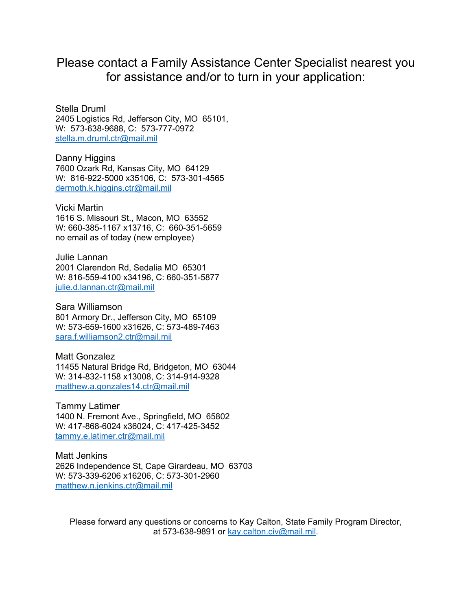# Please contact a Family Assistance Center Specialist nearest you for assistance and/or to turn in your application:

Stella Druml 2405 Logistics Rd, Jefferson City, MO 65101, W: 573-638-9688, C: 573-777-0972 stella.m.druml.ctr@mail.mil

Danny Higgins 7600 Ozark Rd, Kansas City, MO 64129 W: 816-922-5000 x35106, C: 573-301-4565 dermoth.k.higgins.ctr@mail.mil

Vicki Martin 1616 S. Missouri St., Macon, MO 63552 W: 660-385-1167 x13716, C: 660-351-5659 no email as of today (new employee)

Julie Lannan 2001 Clarendon Rd, Sedalia MO 65301 W: 816-559-4100 x34196, C: 660-351-5877 julie.d.lannan.ctr@mail.mil

Sara Williamson 801 Armory Dr., Jefferson City, MO 65109 W: 573-659-1600 x31626, C: 573-489-7463 sara.f.williamson2.ctr@mail.mil

Matt Gonzalez 11455 Natural Bridge Rd, Bridgeton, MO 63044 W: 314-832-1158 x13008, C: 314-914-9328 matthew.a.gonzales14.ctr@mail.mil

Tammy Latimer 1400 N. Fremont Ave., Springfield, MO 65802 W: 417-868-6024 x36024, C: 417-425-3452 tammy.e.latimer.ctr@mail.mil

Matt Jenkins 2626 Independence St, Cape Girardeau, MO 63703 W: 573-339-6206 x16206, C: 573-301-2960 matthew.n.jenkins.ctr@mail.mil

Please forward any questions or concerns to Kay Calton, State Family Program Director, at 573-638-9891 or kay.calton.civ@mail.mil.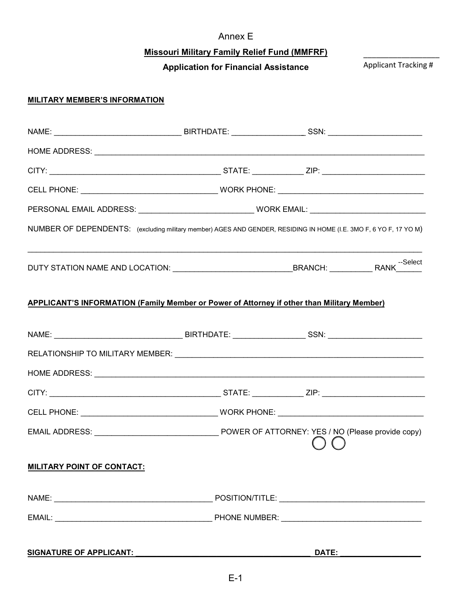## Annex E

# **Missouri Military Family Relief Fund (MMFRF)**

**Application for Financial Assistance**

# Applicant Tracking #

\_\_\_\_\_\_\_\_\_\_\_\_\_\_\_\_\_\_

### **MILITARY MEMBER'S INFORMATION**

| NUMBER OF DEPENDENTS: (excluding military member) AGES AND GENDER, RESIDING IN HOME (I.E. 3MO F, 6 YO F, 17 YO M) |  |  |                           |
|-------------------------------------------------------------------------------------------------------------------|--|--|---------------------------|
|                                                                                                                   |  |  |                           |
| <b>APPLICANT'S INFORMATION (Family Member or Power of Attorney if other than Military Member)</b>                 |  |  |                           |
|                                                                                                                   |  |  |                           |
|                                                                                                                   |  |  |                           |
|                                                                                                                   |  |  |                           |
|                                                                                                                   |  |  |                           |
|                                                                                                                   |  |  |                           |
|                                                                                                                   |  |  |                           |
| <b>MILITARY POINT OF CONTACT:</b>                                                                                 |  |  |                           |
|                                                                                                                   |  |  |                           |
|                                                                                                                   |  |  |                           |
|                                                                                                                   |  |  | DATE: ___________________ |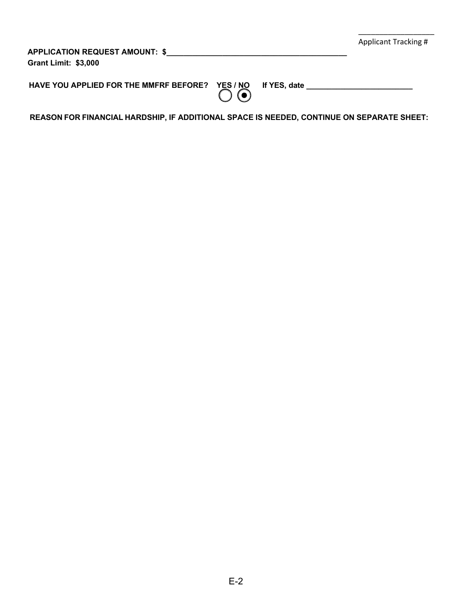| APPLICATION REQUEST AMOUNT: \$<br><b>Grant Limit: \$3,000</b> |  | Applicant Tracking # |
|---------------------------------------------------------------|--|----------------------|
| HAVE YOU APPLIED FOR THE MMFRF BEFORE? YES / NO If YES, date  |  |                      |

\_\_\_\_\_\_\_\_\_\_\_\_\_\_\_\_\_\_

**REASON FOR FINANCIAL HARDSHIP, IF ADDITIONAL SPACE IS NEEDED, CONTINUE ON SEPARATE SHEET:**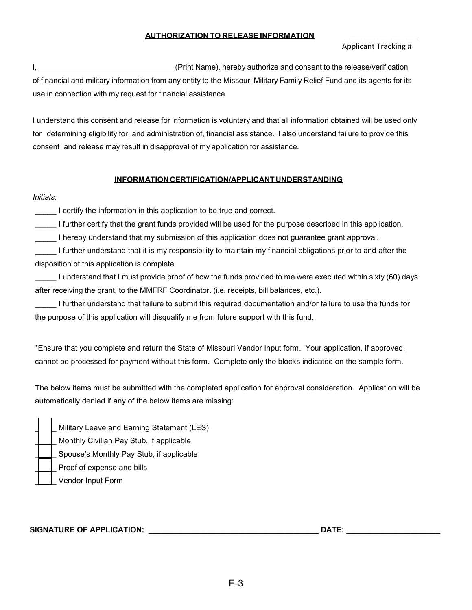#### **AUTHORIZATION TO RELEASE INFORMATION**

### \_\_\_\_\_\_\_\_\_\_\_\_\_\_\_\_\_\_ Applicant Tracking #

I, 1. All the release/verification  $\Box$  (Print Name), hereby authorize and consent to the release/verification of financial and military information from any entity to the Missouri Military Family Relief Fund and its agents for its use in connection with my request for financial assistance.

I understand this consent and release for information is voluntary and that all information obtained will be used only for determining eligibility for, and administration of, financial assistance. I also understand failure to provide this consent and release may result in disapproval of my application for assistance.

#### **INFORMATIONCERTIFICATION/APPLICANTUNDERSTANDING**

#### *Initials:*

I certify the information in this application to be true and correct.

I further certify that the grant funds provided will be used for the purpose described in this application.

\_\_\_\_\_ I hereby understand that my submission of this application does not guarantee grant approval.

\_\_\_\_\_ I further understand that it is my responsibility to maintain my financial obligations prior to and after the disposition of this application is complete.

\_\_\_\_\_ I understand that I must provide proof of how the funds provided to me were executed within sixty (60) days after receiving the grant, to the MMFRF Coordinator. (i.e. receipts, bill balances, etc.).

\_\_\_\_\_ I further understand that failure to submit this required documentation and/or failure to use the funds for the purpose of this application will disqualify me from future support with this fund.

\*Ensure that you complete and return the State of Missouri Vendor Input form. Your application, if approved, cannot be processed for payment without this form. Complete only the blocks indicated on the sample form.

The below items must be submitted with the completed application for approval consideration. Application will be automatically denied if any of the below items are missing:

|  | Military Leave and Earning Statement (LES) |
|--|--------------------------------------------|
|  | Monthly Civilian Pay Stub, if applicable   |
|  | Spouse's Monthly Pay Stub, if applicable   |
|  | Proof of expense and bills                 |
|  | Vendor Input Form                          |

#### **SIGNATURE OF APPLICATION: \_\_\_\_\_\_\_\_\_\_\_\_\_\_\_\_\_\_\_\_\_\_\_\_\_\_\_\_\_\_\_\_\_\_\_\_\_\_\_\_ DATE: \_\_\_\_\_\_\_\_\_\_\_\_\_\_\_\_\_\_\_\_\_\_**